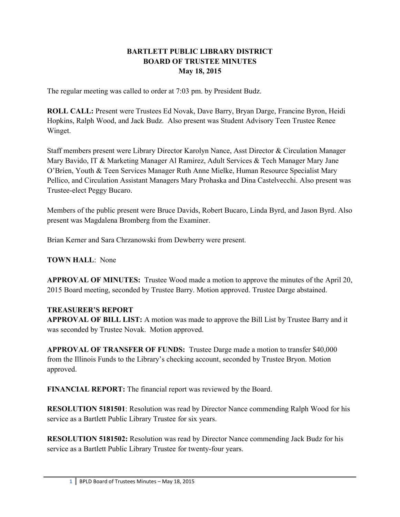#### **BARTLETT PUBLIC LIBRARY DISTRICT BOARD OF TRUSTEE MINUTES May 18, 2015**

The regular meeting was called to order at 7:03 pm. by President Budz.

**ROLL CALL:** Present were Trustees Ed Novak, Dave Barry, Bryan Darge, Francine Byron, Heidi Hopkins, Ralph Wood, and Jack Budz. Also present was Student Advisory Teen Trustee Renee Winget.

Staff members present were Library Director Karolyn Nance, Asst Director & Circulation Manager Mary Bavido, IT & Marketing Manager Al Ramirez, Adult Services & Tech Manager Mary Jane O'Brien, Youth & Teen Services Manager Ruth Anne Mielke, Human Resource Specialist Mary Pellico, and Circulation Assistant Managers Mary Prohaska and Dina Castelvecchi. Also present was Trustee-elect Peggy Bucaro.

Members of the public present were Bruce Davids, Robert Bucaro, Linda Byrd, and Jason Byrd. Also present was Magdalena Bromberg from the Examiner.

Brian Kerner and Sara Chrzanowski from Dewberry were present.

**TOWN HALL**: None

**APPROVAL OF MINUTES:** Trustee Wood made a motion to approve the minutes of the April 20, 2015 Board meeting, seconded by Trustee Barry. Motion approved. Trustee Darge abstained.

### **TREASURER'S REPORT**

**APPROVAL OF BILL LIST:** A motion was made to approve the Bill List by Trustee Barry and it was seconded by Trustee Novak. Motion approved.

**APPROVAL OF TRANSFER OF FUNDS:** Trustee Darge made a motion to transfer \$40,000 from the Illinois Funds to the Library's checking account, seconded by Trustee Bryon. Motion approved.

**FINANCIAL REPORT:** The financial report was reviewed by the Board.

**RESOLUTION 5181501**: Resolution was read by Director Nance commending Ralph Wood for his service as a Bartlett Public Library Trustee for six years.

**RESOLUTION 5181502:** Resolution was read by Director Nance commending Jack Budz for his service as a Bartlett Public Library Trustee for twenty-four years.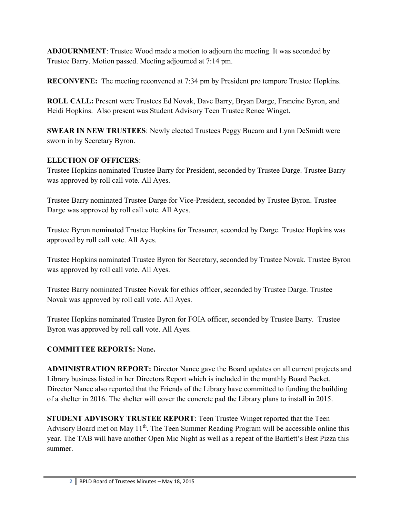**ADJOURNMENT**: Trustee Wood made a motion to adjourn the meeting. It was seconded by Trustee Barry. Motion passed. Meeting adjourned at 7:14 pm.

**RECONVENE:** The meeting reconvened at 7:34 pm by President pro tempore Trustee Hopkins.

**ROLL CALL:** Present were Trustees Ed Novak, Dave Barry, Bryan Darge, Francine Byron, and Heidi Hopkins. Also present was Student Advisory Teen Trustee Renee Winget.

**SWEAR IN NEW TRUSTEES**: Newly elected Trustees Peggy Bucaro and Lynn DeSmidt were sworn in by Secretary Byron.

## **ELECTION OF OFFICERS**:

Trustee Hopkins nominated Trustee Barry for President, seconded by Trustee Darge. Trustee Barry was approved by roll call vote. All Ayes.

Trustee Barry nominated Trustee Darge for Vice-President, seconded by Trustee Byron. Trustee Darge was approved by roll call vote. All Ayes.

Trustee Byron nominated Trustee Hopkins for Treasurer, seconded by Darge. Trustee Hopkins was approved by roll call vote. All Ayes.

Trustee Hopkins nominated Trustee Byron for Secretary, seconded by Trustee Novak. Trustee Byron was approved by roll call vote. All Ayes.

Trustee Barry nominated Trustee Novak for ethics officer, seconded by Trustee Darge. Trustee Novak was approved by roll call vote. All Ayes.

Trustee Hopkins nominated Trustee Byron for FOIA officer, seconded by Trustee Barry. Trustee Byron was approved by roll call vote. All Ayes.

# **COMMITTEE REPORTS:** None**.**

**ADMINISTRATION REPORT:** Director Nance gave the Board updates on all current projects and Library business listed in her Directors Report which is included in the monthly Board Packet. Director Nance also reported that the Friends of the Library have committed to funding the building of a shelter in 2016. The shelter will cover the concrete pad the Library plans to install in 2015.

**STUDENT ADVISORY TRUSTEE REPORT**: Teen Trustee Winget reported that the Teen Advisory Board met on May  $11<sup>th</sup>$ . The Teen Summer Reading Program will be accessible online this year. The TAB will have another Open Mic Night as well as a repeat of the Bartlett's Best Pizza this summer.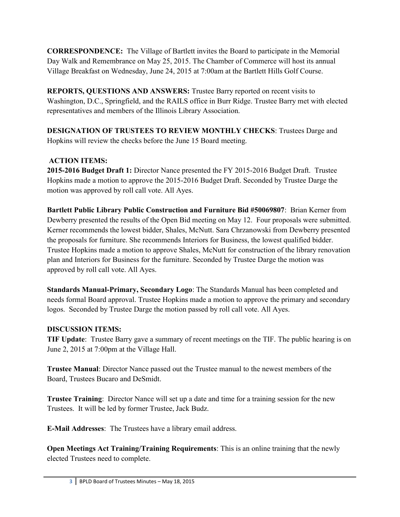**CORRESPONDENCE:** The Village of Bartlett invites the Board to participate in the Memorial Day Walk and Remembrance on May 25, 2015. The Chamber of Commerce will host its annual Village Breakfast on Wednesday, June 24, 2015 at 7:00am at the Bartlett Hills Golf Course.

**REPORTS, QUESTIONS AND ANSWERS:** Trustee Barry reported on recent visits to Washington, D.C., Springfield, and the RAILS office in Burr Ridge. Trustee Barry met with elected representatives and members of the Illinois Library Association.

**DESIGNATION OF TRUSTEES TO REVIEW MONTHLY CHECKS**: Trustees Darge and Hopkins will review the checks before the June 15 Board meeting.

### **ACTION ITEMS:**

**2015-2016 Budget Draft 1:** Director Nance presented the FY 2015-2016 Budget Draft. Trustee Hopkins made a motion to approve the 2015-2016 Budget Draft. Seconded by Trustee Darge the motion was approved by roll call vote. All Ayes.

**Bartlett Public Library Public Construction and Furniture Bid #50069807**: Brian Kerner from Dewberry presented the results of the Open Bid meeting on May 12. Four proposals were submitted. Kerner recommends the lowest bidder, Shales, McNutt. Sara Chrzanowski from Dewberry presented the proposals for furniture. She recommends Interiors for Business, the lowest qualified bidder. Trustee Hopkins made a motion to approve Shales, McNutt for construction of the library renovation plan and Interiors for Business for the furniture. Seconded by Trustee Darge the motion was approved by roll call vote. All Ayes.

**Standards Manual-Primary, Secondary Logo**: The Standards Manual has been completed and needs formal Board approval. Trustee Hopkins made a motion to approve the primary and secondary logos. Seconded by Trustee Darge the motion passed by roll call vote. All Ayes.

### **DISCUSSION ITEMS:**

**TIF Update**: Trustee Barry gave a summary of recent meetings on the TIF. The public hearing is on June 2, 2015 at 7:00pm at the Village Hall.

**Trustee Manual**: Director Nance passed out the Trustee manual to the newest members of the Board, Trustees Bucaro and DeSmidt.

**Trustee Training**: Director Nance will set up a date and time for a training session for the new Trustees. It will be led by former Trustee, Jack Budz.

**E-Mail Addresses**: The Trustees have a library email address.

**Open Meetings Act Training/Training Requirements**: This is an online training that the newly elected Trustees need to complete.